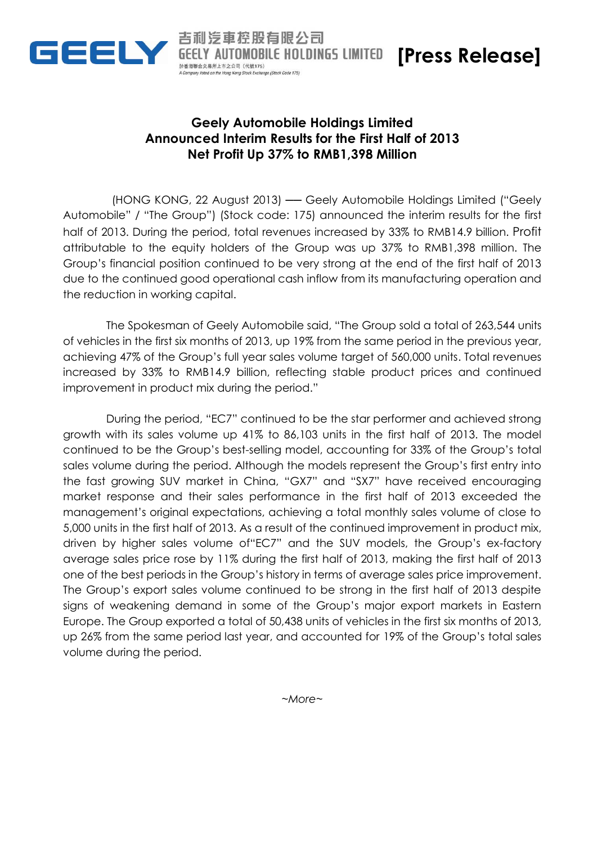

**BOBILE HOLDINGS LIMITED [Press Release]** 

## **Geely Automobile Holdings Limited Announced Interim Results for the First Half of 2013 Net Profit Up 37% to RMB1,398 Million**

汽車控股有限公司

ted on the Hong Kang Stock Exchange (Stock Code 175)

於香港聯合交易所上市之公司 (代戦175)

(HONG KONG, 22 August 2013) ── Geely Automobile Holdings Limited ("Geely Automobile" / "The Group") (Stock code: 175) announced the interim results for the first half of 2013. During the period, total revenues increased by 33% to RMB14.9 billion. Profit attributable to the equity holders of the Group was up 37% to RMB1,398 million. The Group's financial position continued to be very strong at the end of the first half of 2013 due to the continued good operational cash inflow from its manufacturing operation and the reduction in working capital.

The Spokesman of Geely Automobile said, "The Group sold a total of 263,544 units of vehicles in the first six months of 2013, up 19% from the same period in the previous year, achieving 47% of the Group's full year sales volume target of 560,000 units. Total revenues increased by 33% to RMB14.9 billion, reflecting stable product prices and continued improvement in product mix during the period."

During the period, "EC7" continued to be the star performer and achieved strong growth with its sales volume up 41% to 86,103 units in the first half of 2013. The model continued to be the Group's best-selling model, accounting for 33% of the Group's total sales volume during the period. Although the models represent the Group's first entry into the fast growing SUV market in China, "GX7" and "SX7" have received encouraging market response and their sales performance in the first half of 2013 exceeded the management's original expectations, achieving a total monthly sales volume of close to 5,000 units in the first half of 2013. As a result of the continued improvement in product mix, driven by higher sales volume of"EC7" and the SUV models, the Group's ex-factory average sales price rose by 11% during the first half of 2013, making the first half of 2013 one of the best periods in the Group's history in terms of average sales price improvement. The Group's export sales volume continued to be strong in the first half of 2013 despite signs of weakening demand in some of the Group's major export markets in Eastern Europe. The Group exported a total of 50,438 units of vehicles in the first six months of 2013, up 26% from the same period last year, and accounted for 19% of the Group's total sales volume during the period.

*~More~*